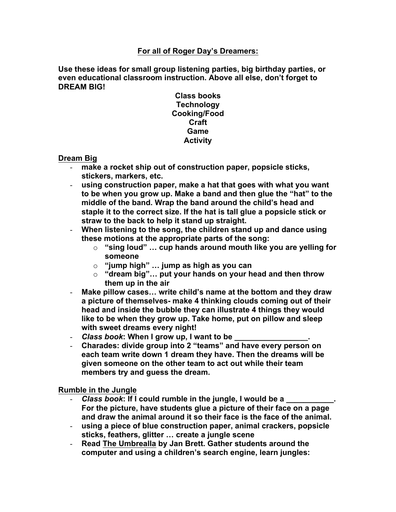### **For all of Roger Day's Dreamers:**

**Use these ideas for small group listening parties, big birthday parties, or even educational classroom instruction. Above all else, don't forget to DREAM BIG!**

> **Class books Technology Cooking/Food Craft Game Activity**

**Dream Big**

- **make a rocket ship out of construction paper, popsicle sticks, stickers, markers, etc.**
- **using construction paper, make a hat that goes with what you want to be when you grow up. Make a band and then glue the "hat" to the middle of the band. Wrap the band around the child's head and staple it to the correct size. If the hat is tall glue a popsicle stick or straw to the back to help it stand up straight.**
- **When listening to the song, the children stand up and dance using these motions at the appropriate parts of the song:**
	- o **"sing loud" … cup hands around mouth like you are yelling for someone**
	- o **"jump high" … jump as high as you can**
	- o **"dream big"… put your hands on your head and then throw them up in the air**
- **Make pillow cases… write child's name at the bottom and they draw a picture of themselves- make 4 thinking clouds coming out of their head and inside the bubble they can illustrate 4 things they would like to be when they grow up. Take home, put on pillow and sleep with sweet dreams every night!**
- *Class book*: When I grow up, I want to be
- **Charades: divide group into 2 "teams" and have every person on each team write down 1 dream they have. Then the dreams will be given someone on the other team to act out while their team members try and guess the dream.**

**Rumble in the Jungle**

- *Class book*: If I could rumble in the jungle, I would be a **For the picture, have students glue a picture of their face on a page and draw the animal around it so their face is the face of the animal.**
- **using a piece of blue construction paper, animal crackers, popsicle sticks, feathers, glitter … create a jungle scene**
- **Read The Umbrealla by Jan Brett. Gather students around the computer and using a children's search engine, learn jungles:**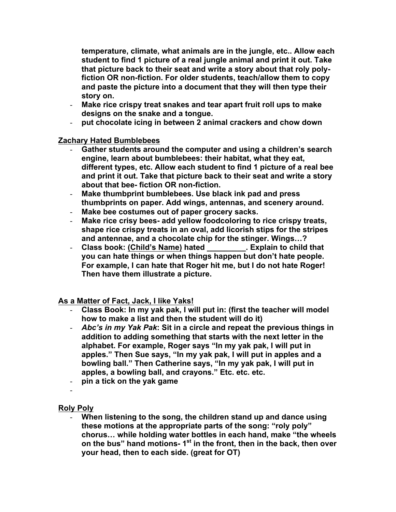**temperature, climate, what animals are in the jungle, etc.. Allow each student to find 1 picture of a real jungle animal and print it out. Take that picture back to their seat and write a story about that roly polyfiction OR non-fiction. For older students, teach/allow them to copy and paste the picture into a document that they will then type their story on.**

- **Make rice crispy treat snakes and tear apart fruit roll ups to make designs on the snake and a tongue.**
- **put chocolate icing in between 2 animal crackers and chow down**

**Zachary Hated Bumblebees**

- Gather students around the computer and using a children's search **engine, learn about bumblebees: their habitat, what they eat, different types, etc. Allow each student to find 1 picture of a real bee and print it out. Take that picture back to their seat and write a story about that bee- fiction OR non-fiction.**
- **Make thumbprint bumblebees. Use black ink pad and press thumbprints on paper. Add wings, antennas, and scenery around.**
- **Make bee costumes out of paper grocery sacks.**
- **Make rice crisy bees- add yellow foodcoloring to rice crispy treats, shape rice crispy treats in an oval, add licorish stips for the stripes and antennae, and a chocolate chip for the stinger. Wings…?**
- **Class book: (Child's Name) hated \_\_\_\_\_\_\_\_\_. Explain to child that you can hate things or when things happen but don't hate people. For example, I can hate that Roger hit me, but I do not hate Roger! Then have them illustrate a picture.**

**As a Matter of Fact, Jack, I like Yaks!**

- **Class Book: In my yak pak, I will put in: (first the teacher will model how to make a list and then the student will do it)**
- *Abc's in my Yak Pak***: Sit in a circle and repeat the previous things in addition to adding something that starts with the next letter in the alphabet. For example, Roger says "In my yak pak, I will put in apples." Then Sue says, "In my yak pak, I will put in apples and a bowling ball." Then Catherine says, "In my yak pak, I will put in apples, a bowling ball, and crayons." Etc. etc. etc.**
- **pin a tick on the yak game**
- -

# **Roly Poly**

- **When listening to the song, the children stand up and dance using these motions at the appropriate parts of the song: "roly poly" chorus… while holding water bottles in each hand, make "the wheels on the bus" hand motions- 1st in the front, then in the back, then over your head, then to each side. (great for OT)**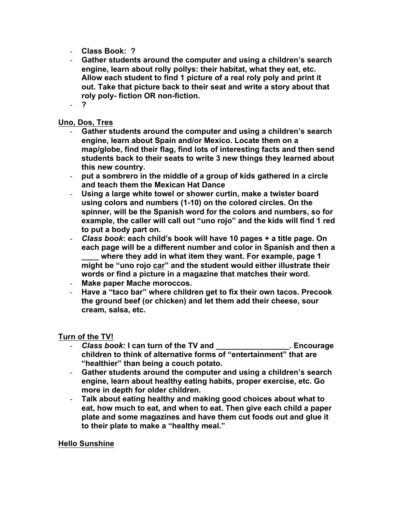- **Class Book: ?**
- **Gather students around the computer and using a children's search engine, learn about rolly pollys: their habitat, what they eat, etc. Allow each student to find 1 picture of a real roly poly and print it out. Take that picture back to their seat and write a story about that roly poly- fiction OR non-fiction.**
- **?**

### **Uno, Dos, Tres**

- Gather students around the computer and using a children's search **engine, learn about Spain and/or Mexico. Locate them on a map/globe, find their flag, find lots of interesting facts and then send students back to their seats to write 3 new things they learned about this new country.**
- **put a sombrero in the middle of a group of kids gathered in a circle and teach them the Mexican Hat Dance**
- **Using a large white towel or shower curtin, make a twister board using colors and numbers (1-10) on the colored circles. On the spinner, will be the Spanish word for the colors and numbers, so for example, the caller will call out "uno rojo" and the kids will find 1 red to put a body part on.**
- *Class book***: each child's book will have 10 pages + a title page. On each page will be a different number and color in Spanish and then a**  where they add in what item they want. For example, page 1 **might be "uno rojo car" and the student would either illustrate their words or find a picture in a magazine that matches their word.**
- **Make paper Mache moroccos.**
- **Have a "taco bar" where children get to fix their own tacos. Precook the ground beef (or chicken) and let them add their cheese, sour cream, salsa, etc.**

#### **Turn of the TV!**

- *Class book***: I can turn of the TV and \_\_\_\_\_\_\_\_\_\_\_\_\_\_\_\_\_. Encourage children to think of alternative forms of "entertainment" that are "healthier" than being a couch potato.**
- **Gather students around the computer and using a children's search engine, learn about healthy eating habits, proper exercise, etc. Go more in depth for older children.**
- **Talk about eating healthy and making good choices about what to eat, how much to eat, and when to eat. Then give each child a paper plate and some magazines and have them cut foods out and glue it to their plate to make a "healthy meal."**

#### **Hello Sunshine**